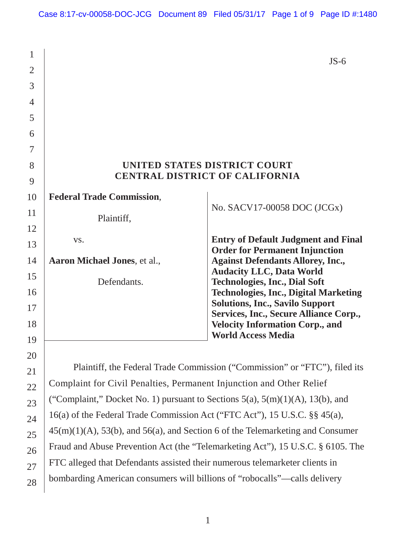| $\mathbf{1}$   |                                                                                     | $JS-6$                                                                                  |  |
|----------------|-------------------------------------------------------------------------------------|-----------------------------------------------------------------------------------------|--|
| $\overline{2}$ |                                                                                     |                                                                                         |  |
| 3              |                                                                                     |                                                                                         |  |
| $\overline{4}$ |                                                                                     |                                                                                         |  |
| 5              |                                                                                     |                                                                                         |  |
| 6              |                                                                                     |                                                                                         |  |
| 7              |                                                                                     |                                                                                         |  |
| 8              | UNITED STATES DISTRICT COURT                                                        |                                                                                         |  |
| 9              |                                                                                     | <b>CENTRAL DISTRICT OF CALIFORNIA</b>                                                   |  |
| 10             | <b>Federal Trade Commission,</b>                                                    |                                                                                         |  |
| 11             | Plaintiff,                                                                          | No. SACV17-00058 DOC (JCGx)                                                             |  |
| 12             |                                                                                     |                                                                                         |  |
| 13             | VS.                                                                                 | <b>Entry of Default Judgment and Final</b>                                              |  |
| 14             | Aaron Michael Jones, et al.,                                                        | <b>Order for Permanent Injunction</b><br><b>Against Defendants Allorey, Inc.,</b>       |  |
| 15             |                                                                                     | <b>Audacity LLC, Data World</b>                                                         |  |
| 16             | Defendants.                                                                         | <b>Technologies, Inc., Dial Soft</b><br><b>Technologies, Inc., Digital Marketing</b>    |  |
| 17             |                                                                                     | <b>Solutions, Inc., Savilo Support</b>                                                  |  |
| 18             |                                                                                     | <b>Services, Inc., Secure Alliance Corp.,</b><br><b>Velocity Information Corp., and</b> |  |
| 19             |                                                                                     | <b>World Access Media</b>                                                               |  |
| 20             |                                                                                     |                                                                                         |  |
| 21             |                                                                                     | Plaintiff, the Federal Trade Commission ("Commission" or "FTC"), filed its              |  |
| 22             | Complaint for Civil Penalties, Permanent Injunction and Other Relief                |                                                                                         |  |
| 23             | ("Complaint," Docket No. 1) pursuant to Sections $5(a)$ , $5(m)(1)(A)$ , 13(b), and |                                                                                         |  |
| 24             | 16(a) of the Federal Trade Commission Act ("FTC Act"), 15 U.S.C. §§ 45(a),          |                                                                                         |  |
|                | $45(m)(1)(A)$ , 53(b), and 56(a), and Section 6 of the Telemarketing and Consumer   |                                                                                         |  |
|                |                                                                                     | Fraud and Abuse Prevention Act (the "Telemarketing Act"), 15 U.S.C. § 6105. The         |  |
|                | FTC alleged that Defendants assisted their numerous telemarketer clients in         |                                                                                         |  |
| 25<br>26<br>27 |                                                                                     |                                                                                         |  |

bombarding American consumers will billions of "robocalls"—calls delivery

1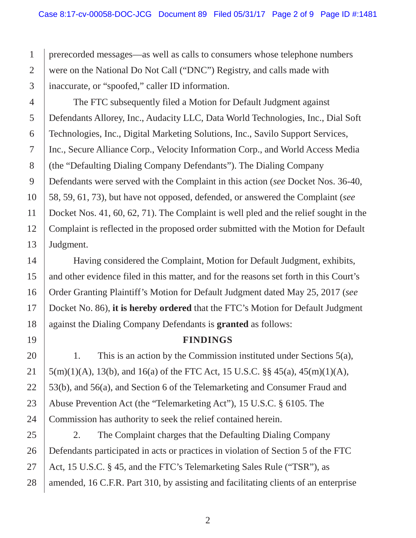1 2 3 prerecorded messages—as well as calls to consumers whose telephone numbers were on the National Do Not Call ("DNC") Registry, and calls made with inaccurate, or "spoofed," caller ID information.

4 5 6 7 8 9 10 11 12 13 Defendants Allorey, Inc., Audacity LLC, Data World Technologies, Inc., Dial Soft 58, 59, 61, 73), but have not opposed, defended, or answered the Complaint (*see*  The FTC subsequently filed a Motion for Default Judgment against Technologies, Inc., Digital Marketing Solutions, Inc., Savilo Support Services, Inc., Secure Alliance Corp., Velocity Information Corp., and World Access Media (the "Defaulting Dialing Company Defendants"). The Dialing Company Defendants were served with the Complaint in this action (*see* Docket Nos. 36-40, Docket Nos. 41, 60, 62, 71). The Complaint is well pled and the relief sought in the Complaint is reflected in the proposed order submitted with the Motion for Default Judgment.

Having considered the Complaint, Motion for Default Judgment, exhibits, and other evidence filed in this matter, and for the reasons set forth in this Court's Order Granting Plaintiff's Motion for Default Judgment dated May 25, 2017 (*see*  Docket No. 86), **it is hereby ordered** that the FTC's Motion for Default Judgment against the Dialing Company Defendants is **granted** as follows:

14

15

16

17

18

19

## **FINDINGS**

20 21 22 23 24 53(b), and 56(a), and Section 6 of the Telemarketing and Consumer Fraud and 1. This is an action by the Commission instituted under Sections 5(a), 5(m)(1)(A), 13(b), and 16(a) of the FTC Act, 15 U.S.C. §§ 45(a), 45(m)(1)(A), Abuse Prevention Act (the "Telemarketing Act"), 15 U.S.C. § 6105. The Commission has authority to seek the relief contained herein.

25 26 27 28 2. The Complaint charges that the Defaulting Dialing Company Defendants participated in acts or practices in violation of Section 5 of the FTC Act, 15 U.S.C. § 45, and the FTC's Telemarketing Sales Rule ("TSR"), as amended, 16 C.F.R. Part 310, by assisting and facilitating clients of an enterprise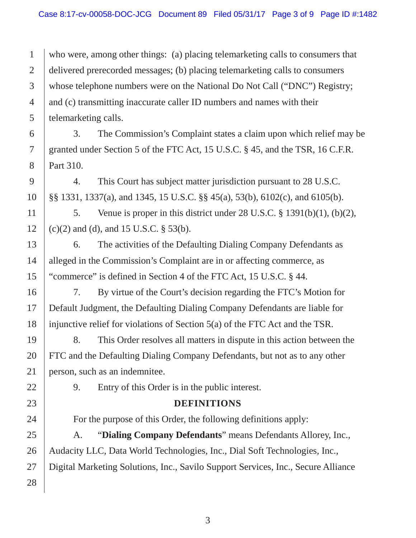1 2 3 4 5 who were, among other things: (a) placing telemarketing calls to consumers that delivered prerecorded messages; (b) placing telemarketing calls to consumers whose telephone numbers were on the National Do Not Call ("DNC") Registry; and (c) transmitting inaccurate caller ID numbers and names with their telemarketing calls.

3. The Commission's Complaint states a claim upon which relief may be granted under Section 5 of the FTC Act, 15 U.S.C. § 45, and the TSR, 16 C.F.R. Part 310.

4. This Court has subject matter jurisdiction pursuant to 28 U.S.C. §§ 1331, 1337(a), and 1345, 15 U.S.C. §§ 45(a), 53(b), 6102(c), and 6105(b).

5. Venue is proper in this district under 28 U.S.C. § 1391(b)(1), (b)(2), (c)(2) and (d), and 15 U.S.C. § 53(b).

6. The activities of the Defaulting Dialing Company Defendants as alleged in the Commission's Complaint are in or affecting commerce, as "commerce" is defined in Section 4 of the FTC Act, 15 U.S.C. § 44.

7. By virtue of the Court's decision regarding the FTC's Motion for Default Judgment, the Defaulting Dialing Company Defendants are liable for injunctive relief for violations of Section 5(a) of the FTC Act and the TSR.

8. This Order resolves all matters in dispute in this action between the FTC and the Defaulting Dialing Company Defendants, but not as to any other person, such as an indemnitee.

9. Entry of this Order is in the public interest.

## **DEFINITIONS**

For the purpose of this Order, the following definitions apply:

28 Audacity LLC, Data World Technologies, Inc., Dial Soft Technologies, Inc., A. "**Dialing Company Defendants**" means Defendants Allorey, Inc., Digital Marketing Solutions, Inc., Savilo Support Services, Inc., Secure Alliance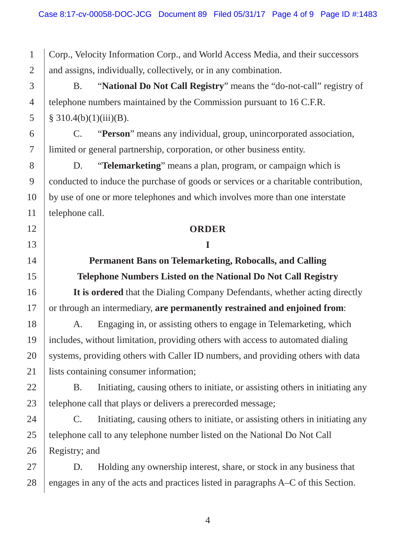Corp., Velocity Information Corp., and World Access Media, and their successors and assigns, individually, collectively, or in any combination.

B. "**National Do Not Call Registry**" means the "do-not-call" registry of telephone numbers maintained by the Commission pursuant to 16 C.F.R.  $§ 310.4(b)(1)(iii)(B).$ 

C. "**Person**" means any individual, group, unincorporated association, limited or general partnership, corporation, or other business entity.

 D. "**Telemarketing**" means a plan, program, or campaign which is conducted to induce the purchase of goods or services or a charitable contribution, by use of one or more telephones and which involves more than one interstate telephone call.

#### **ORDER**

#### **I**

## **Permanent Bans on Telemarketing, Robocalls, and Calling Telephone Numbers Listed on the National Do Not Call Registry**

**It is ordered** that the Dialing Company Defendants, whether acting directly or through an intermediary, **are permanently restrained and enjoined from**:

A. Engaging in, or assisting others to engage in Telemarketing, which includes, without limitation, providing others with access to automated dialing systems, providing others with Caller ID numbers, and providing others with data lists containing consumer information;

 B. Initiating, causing others to initiate, or assisting others in initiating any telephone call that plays or delivers a prerecorded message;

 C. Initiating, causing others to initiate, or assisting others in initiating any telephone call to any telephone number listed on the National Do Not Call Registry; and

D. Holding any ownership interest, share, or stock in any business that engages in any of the acts and practices listed in paragraphs A–C of this Section.

1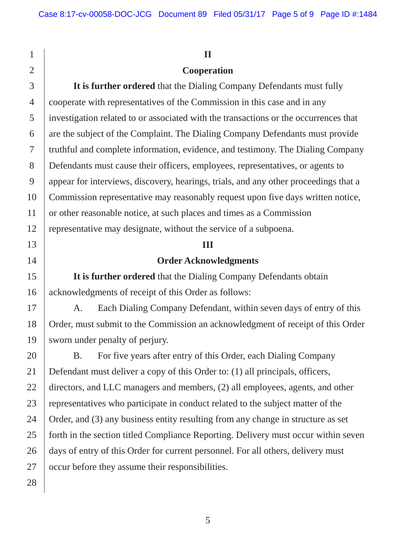#### **II**

## **Cooperation**

 cooperate with representatives of the Commission in this case and in any **It is further ordered** that the Dialing Company Defendants must fully investigation related to or associated with the transactions or the occurrences that are the subject of the Complaint. The Dialing Company Defendants must provide truthful and complete information, evidence, and testimony. The Dialing Company Defendants must cause their officers, employees, representatives, or agents to appear for interviews, discovery, hearings, trials, and any other proceedings that a Commission representative may reasonably request upon five days written notice, or other reasonable notice, at such places and times as a Commission representative may designate, without the service of a subpoena.

#### **III**

### **Order Acknowledgments**

**It is further ordered** that the Dialing Company Defendants obtain acknowledgments of receipt of this Order as follows:

 A. Each Dialing Company Defendant, within seven days of entry of this Order, must submit to the Commission an acknowledgment of receipt of this Order sworn under penalty of perjury.

 days of entry of this Order for current personnel. For all others, delivery must B. For five years after entry of this Order, each Dialing Company Defendant must deliver a copy of this Order to: (1) all principals, officers, directors, and LLC managers and members, (2) all employees, agents, and other representatives who participate in conduct related to the subject matter of the Order, and (3) any business entity resulting from any change in structure as set forth in the section titled Compliance Reporting. Delivery must occur within seven occur before they assume their responsibilities.

1

2

3

4

5

6

7

8

9

10

11

12

13

14

15

16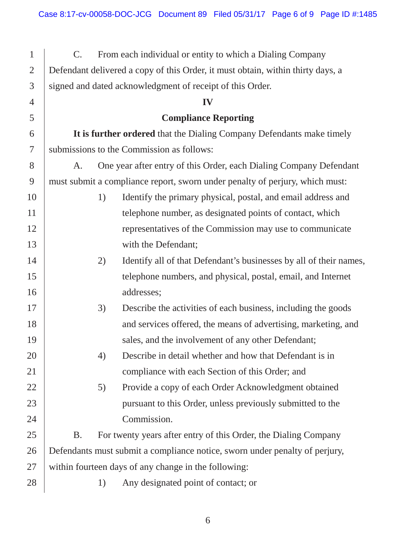| $\mathbf{1}$   | $C_{\cdot}$                                                                     |    | From each individual or entity to which a Dialing Company          |
|----------------|---------------------------------------------------------------------------------|----|--------------------------------------------------------------------|
| $\overline{2}$ | Defendant delivered a copy of this Order, it must obtain, within thirty days, a |    |                                                                    |
| 3              | signed and dated acknowledgment of receipt of this Order.                       |    |                                                                    |
| $\overline{4}$ | IV                                                                              |    |                                                                    |
| 5              |                                                                                 |    | <b>Compliance Reporting</b>                                        |
| 6              | It is further ordered that the Dialing Company Defendants make timely           |    |                                                                    |
| 7              | submissions to the Commission as follows:                                       |    |                                                                    |
| 8              | One year after entry of this Order, each Dialing Company Defendant<br>A.        |    |                                                                    |
| 9              | must submit a compliance report, sworn under penalty of perjury, which must:    |    |                                                                    |
| 10             |                                                                                 | 1) | Identify the primary physical, postal, and email address and       |
| 11             |                                                                                 |    | telephone number, as designated points of contact, which           |
| 12             |                                                                                 |    | representatives of the Commission may use to communicate           |
| 13             |                                                                                 |    | with the Defendant;                                                |
| 14             |                                                                                 | 2) | Identify all of that Defendant's businesses by all of their names, |
| 15             |                                                                                 |    | telephone numbers, and physical, postal, email, and Internet       |
| 16             |                                                                                 |    | addresses;                                                         |
| 17             |                                                                                 | 3) | Describe the activities of each business, including the goods      |
| 18             |                                                                                 |    | and services offered, the means of advertising, marketing, and     |
| 19             |                                                                                 |    | sales, and the involvement of any other Defendant;                 |
| 20             |                                                                                 | 4) | Describe in detail whether and how that Defendant is in            |
| 21             |                                                                                 |    | compliance with each Section of this Order; and                    |
| 22             |                                                                                 | 5) | Provide a copy of each Order Acknowledgment obtained               |
| 23             |                                                                                 |    | pursuant to this Order, unless previously submitted to the         |
| 24             |                                                                                 |    | Commission.                                                        |
| 25             | <b>B.</b>                                                                       |    | For twenty years after entry of this Order, the Dialing Company    |
| 26             | Defendants must submit a compliance notice, sworn under penalty of perjury,     |    |                                                                    |
| 27             | within fourteen days of any change in the following:                            |    |                                                                    |
| 28             |                                                                                 | 1) | Any designated point of contact; or                                |
|                |                                                                                 |    |                                                                    |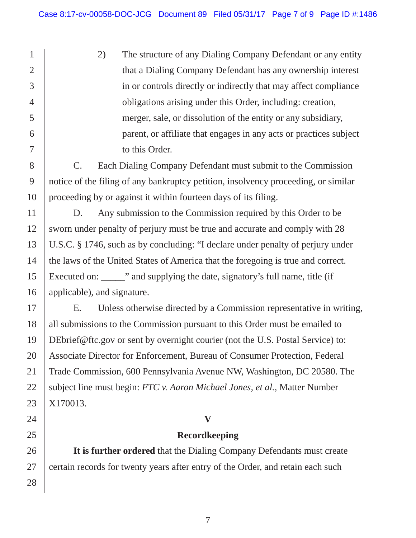merger, sale, or dissolution of the entity or any subsidiary, 2) The structure of any Dialing Company Defendant or any entity that a Dialing Company Defendant has any ownership interest in or controls directly or indirectly that may affect compliance obligations arising under this Order, including: creation, parent, or affiliate that engages in any acts or practices subject to this Order.

C. Each Dialing Company Defendant must submit to the Commission notice of the filing of any bankruptcy petition, insolvency proceeding, or similar proceeding by or against it within fourteen days of its filing.

 D. Any submission to the Commission required by this Order to be sworn under penalty of perjury must be true and accurate and comply with 28 U.S.C. § 1746, such as by concluding: "I declare under penalty of perjury under the laws of the United States of America that the foregoing is true and correct. Executed on: The " and supplying the date, signatory's full name, title (if applicable), and signature.

E. Unless otherwise directed by a Commission representative in writing, all submissions to the Commission pursuant to this Order must be emailed to DEbrief@ftc.gov or sent by overnight courier (not the U.S. Postal Service) to: Associate Director for Enforcement, Bureau of Consumer Protection, Federal Trade Commission, 600 Pennsylvania Avenue NW, Washington, DC 20580. The subject line must begin: *FTC v. Aaron Michael Jones, et al.*, Matter Number X170013.

## **V**

## **Recordkeeping**

**It is further ordered** that the Dialing Company Defendants must create certain records for twenty years after entry of the Order, and retain each such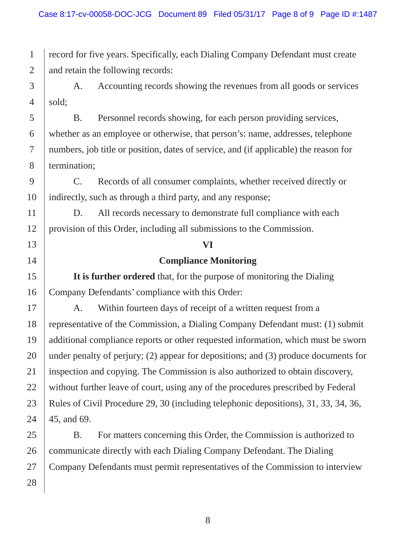record for five years. Specifically, each Dialing Company Defendant must create and retain the following records:

A. Accounting records showing the revenues from all goods or services sold;

 whether as an employee or otherwise, that person's: name, addresses, telephone B. Personnel records showing, for each person providing services, numbers, job title or position, dates of service, and (if applicable) the reason for termination;

C. Records of all consumer complaints, whether received directly or indirectly, such as through a third party, and any response;

 provision of this Order, including all submissions to the Commission. D. All records necessary to demonstrate full compliance with each

# **Compliance Monitoring**

**VI** 

**It is further ordered** that, for the purpose of monitoring the Dialing Company Defendants' compliance with this Order:

 A. Within fourteen days of receipt of a written request from a Rules of Civil Procedure 29, 30 (including telephonic depositions), 31, 33, 34, 36, representative of the Commission, a Dialing Company Defendant must: (1) submit additional compliance reports or other requested information, which must be sworn under penalty of perjury; (2) appear for depositions; and (3) produce documents for inspection and copying. The Commission is also authorized to obtain discovery, without further leave of court, using any of the procedures prescribed by Federal 45, and 69.

 Company Defendants must permit representatives of the Commission to interview B. For matters concerning this Order, the Commission is authorized to communicate directly with each Dialing Company Defendant. The Dialing

1